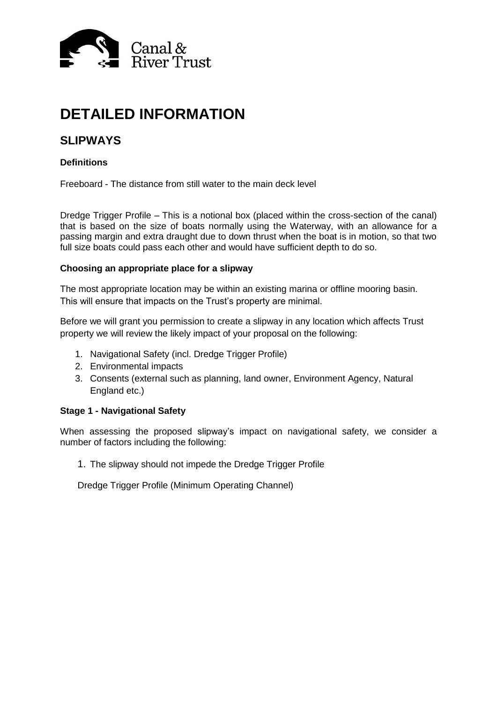

# **DETAILED INFORMATION**

# **SLIPWAYS**

# **Definitions**

Freeboard - The distance from still water to the main deck level

Dredge Trigger Profile – This is a notional box (placed within the cross-section of the canal) that is based on the size of boats normally using the Waterway, with an allowance for a passing margin and extra draught due to down thrust when the boat is in motion, so that two full size boats could pass each other and would have sufficient depth to do so.

## **Choosing an appropriate place for a slipway**

The most appropriate location may be within an existing marina or offline mooring basin. This will ensure that impacts on the Trust's property are minimal.

Before we will grant you permission to create a slipway in any location which affects Trust property we will review the likely impact of your proposal on the following:

- 1. Navigational Safety (incl. Dredge Trigger Profile)
- 2. Environmental impacts
- 3. Consents (external such as planning, land owner, Environment Agency, Natural England etc.)

#### **Stage 1 - Navigational Safety**

When assessing the proposed slipway's impact on navigational safety, we consider a number of factors including the following:

1. The slipway should not impede the Dredge Trigger Profile

Dredge Trigger Profile (Minimum Operating Channel)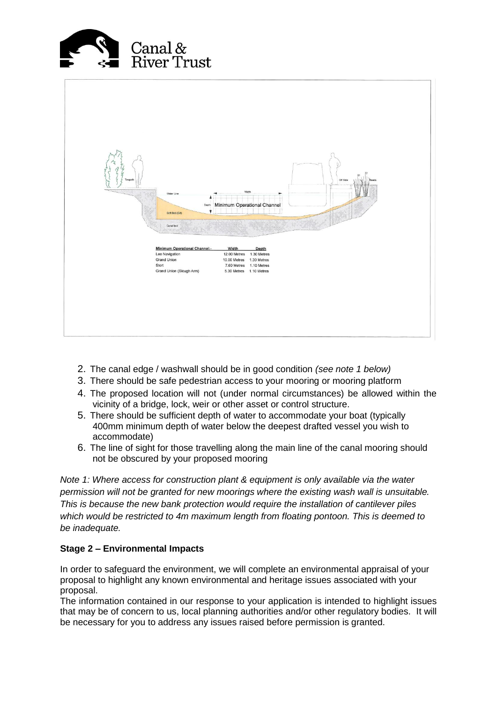

| Towpat | Width<br>Water Line<br>۰<br>٨<br>Depth Minimum Operational Channel<br>٧<br>Soft Bed (Sit)<br>Canal bed<br><b>Minimum Operational Channel:-</b><br>Width<br>Depth<br>Lee Navigation<br>12.00 Metres 1.30 Metres<br><b>Grand Union</b><br>10.00 Metres<br>1.30 Metres<br>Stort<br>7.60 Metres<br>1.10 Metres<br>Grand Union (Slough Arm)<br>5.30 Metres 1.10 Metres | Off Side |
|--------|-------------------------------------------------------------------------------------------------------------------------------------------------------------------------------------------------------------------------------------------------------------------------------------------------------------------------------------------------------------------|----------|
|        |                                                                                                                                                                                                                                                                                                                                                                   |          |

- 2. The canal edge / washwall should be in good condition *(see note 1 below)*
- 3. There should be safe pedestrian access to your mooring or mooring platform
- 4. The proposed location will not (under normal circumstances) be allowed within the vicinity of a bridge, lock, weir or other asset or control structure.
- 5. There should be sufficient depth of water to accommodate your boat (typically 400mm minimum depth of water below the deepest drafted vessel you wish to accommodate)
- 6. The line of sight for those travelling along the main line of the canal mooring should not be obscured by your proposed mooring

*Note 1: Where access for construction plant & equipment is only available via the water permission will not be granted for new moorings where the existing wash wall is unsuitable. This is because the new bank protection would require the installation of cantilever piles which would be restricted to 4m maximum length from floating pontoon. This is deemed to be inadequate.*

#### **Stage 2 – Environmental Impacts**

In order to safeguard the environment, we will complete an environmental appraisal of your proposal to highlight any known environmental and heritage issues associated with your proposal.

The information contained in our response to your application is intended to highlight issues that may be of concern to us, local planning authorities and/or other regulatory bodies. It will be necessary for you to address any issues raised before permission is granted.